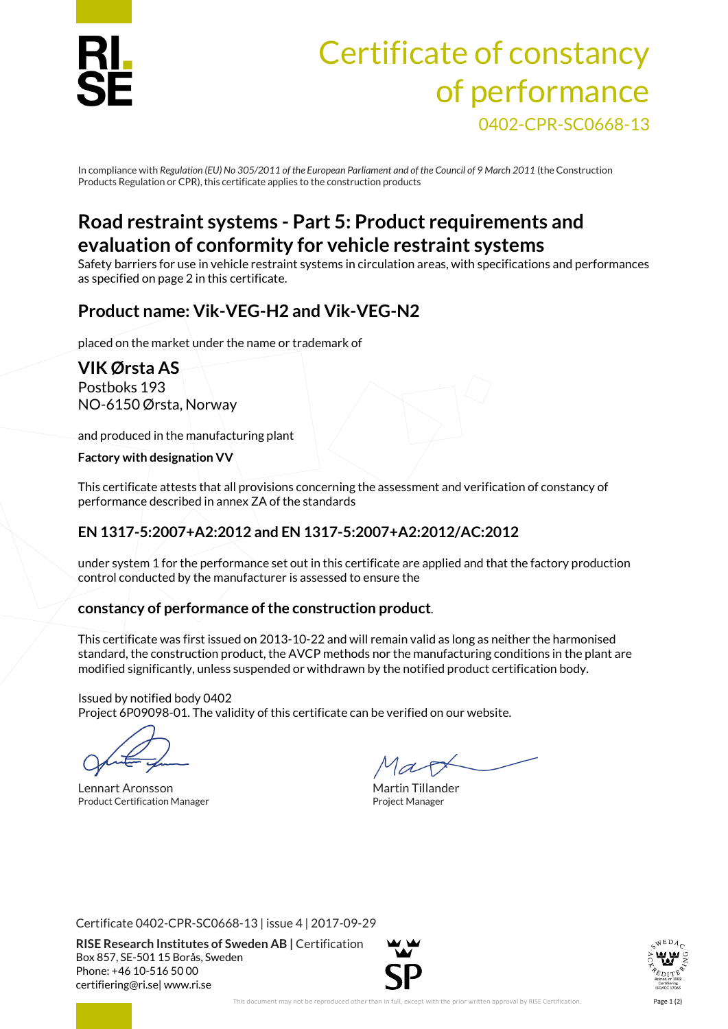

# Certificate of constancy of performance 0402-CPR-SC0668-13

In compliance with *Regulation (EU)No 305/2011 of the European Parliament and of the Council of 9 March 2011* (the Construction Products Regulation or CPR), this certificate applies to the construction products

## **Road restraint systems - Part 5: Product requirements and evaluation of conformity for vehicle restraint systems**

Safety barriers for use in vehicle restraint systems in circulation areas, with specifications and performances as specified on page 2 in this certificate.

## **Product name: Vik-VEG-H2 and Vik-VEG-N2**

placed on the market under the name or trademark of

**VIK Ørsta AS** Postboks 193 NO-6150 Ørsta, Norway

and produced in the manufacturing plant

**Factory with designation VV**

This certificate attests that all provisions concerning the assessment and verification of constancy of performance described in annex ZA of the standards

#### **EN 1317-5:2007+A2:2012 and EN 1317-5:2007+A2:2012/AC:2012**

under system 1 for the performance set out in this certificate are applied and that the factory production control conducted by the manufacturer is assessed to ensure the

#### **constancy of performance of the construction product**.

This certificate was first issued on 2013-10-22 and will remain valid as long as neither the harmonised standard, the construction product, the AVCP methods nor the manufacturing conditions in the plant are modified significantly, unless suspended or withdrawn by the notified product certification body.

Issued by notified body 0402 Project 6P09098-01. The validity of this certificate can be verified on our website.

Lennart Aronsson and The Martin Tillander Product Certification Manager **Product Certification Manager** Project Manager

Certificate 0402-CPR-SC0668-13 | issue 4 | 2017-09-29

**RISE Research Institutes of Sweden AB |** Certification Box 857, SE-501 15 Borås, Sweden Phone: +46 10-516 50 00 [certifiering@ri.se|](mailto:certifiering@ri.se) www.ri.se